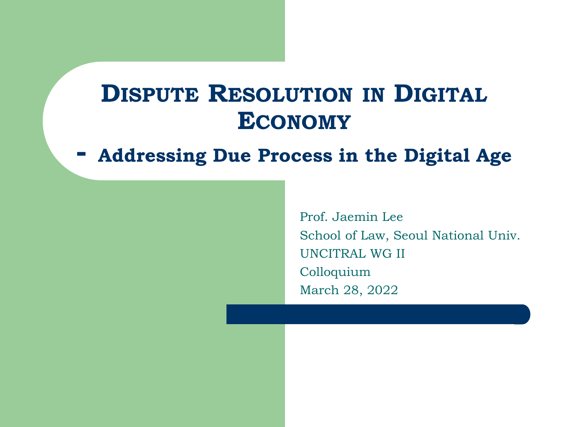### **DISPUTE RESOLUTION IN DIGITAL ECONOMY**

#### **- Addressing Due Process in the Digital Age**

Prof. Jaemin Lee School of Law, Seoul National Univ. UNCITRAL WG II Colloquium March 28, 2022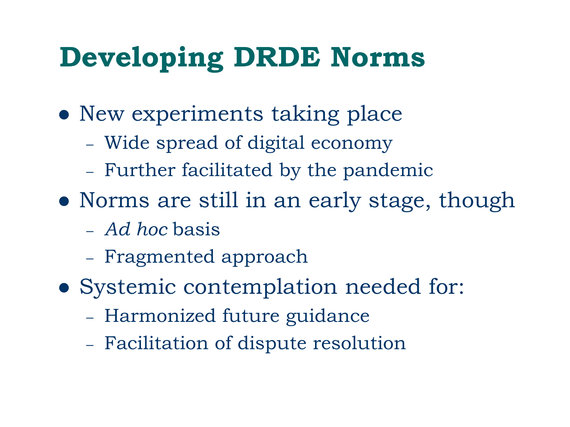# **Developing DRDE Norms**

- ⚫ New experiments taking place
	- Wide spread of digital economy
	- Further facilitated by the pandemic
- ⚫ Norms are still in an early stage, though
	- *Ad hoc* basis
	- Fragmented approach
- ⚫ Systemic contemplation needed for:
	- Harmonized future guidance
	- Facilitation of dispute resolution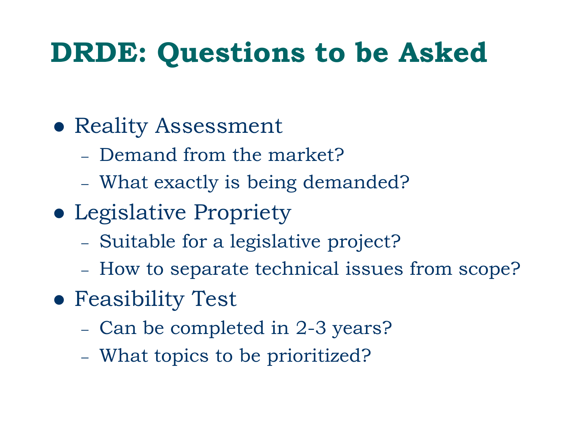## **DRDE: Questions to be Asked**

### ⚫ Reality Assessment

- Demand from the market?
- What exactly is being demanded?
- ⚫ Legislative Propriety
	- Suitable for a legislative project?
	- How to separate technical issues from scope?
- ⚫ Feasibility Test
	- Can be completed in 2-3 years?
	- What topics to be prioritized?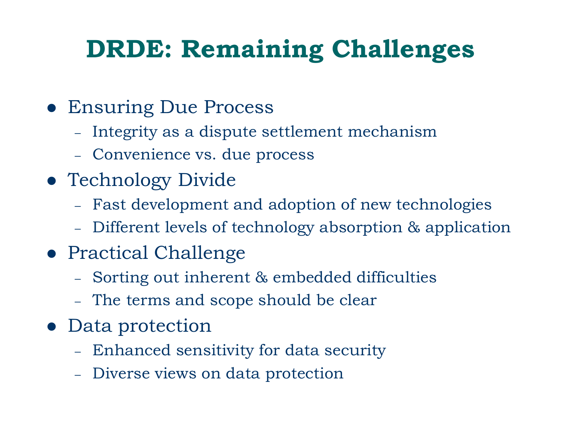## **DRDE: Remaining Challenges**

- ⚫ Ensuring Due Process
	- Integrity as a dispute settlement mechanism
	- Convenience vs. due process
- ⚫ Technology Divide
	- Fast development and adoption of new technologies
	- Different levels of technology absorption & application
- Practical Challenge
	- Sorting out inherent & embedded difficulties
	- The terms and scope should be clear
- Data protection
	- Enhanced sensitivity for data security
	- Diverse views on data protection